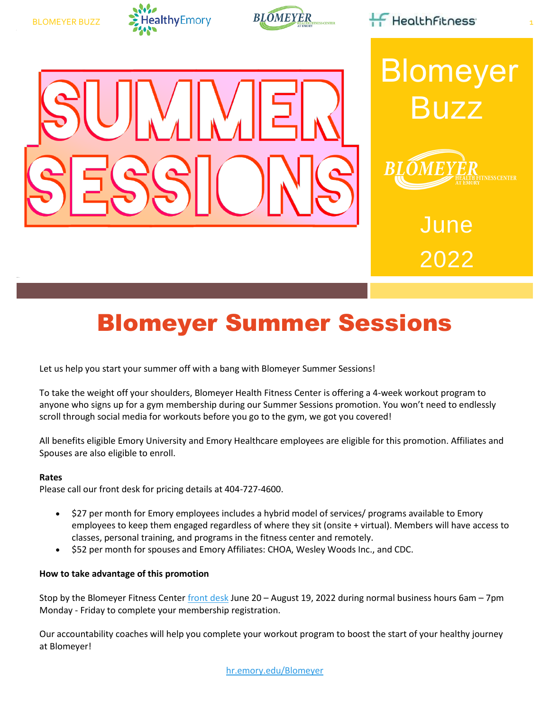

# Blomeyer Summer Sessions

Let us help you start your summer off with a bang with Blomeyer Summer Sessions!

To take the weight off your shoulders, Blomeyer Health Fitness Center is offering a 4-week workout program to anyone who signs up for a gym membership during our Summer Sessions promotion. You won't need to endlessly scroll through social media for workouts before you go to the gym, we got you covered!

All benefits eligible Emory University and Emory Healthcare employees are eligible for this promotion. Affiliates and Spouses are also eligible to enroll.

#### **Rates**

Please call our front desk for pricing details at 404-727-4600.

- \$27 per month for Emory employees includes a hybrid model of services/ programs available to Emory employees to keep them engaged regardless of where they sit (onsite + virtual). Members will have access to classes, personal training, and programs in the fitness center and remotely.
- \$52 per month for spouses and Emory Affiliates: CHOA, Wesley Woods Inc., and CDC.

#### **How to take advantage of this promotion**

Stop by the Blomeyer Fitness Center [front desk](https://www.google.com/search?client=firefox-b-1-d&q=1525+Clifton+Road+5th+floor+Atlanta%2C+Georgia+30322) June 20 – August 19, 2022 during normal business hours 6am – 7pm Monday - Friday to complete your membership registration.

Our accountability coaches will help you complete your workout program to boost the start of your healthy journey at Blomeyer!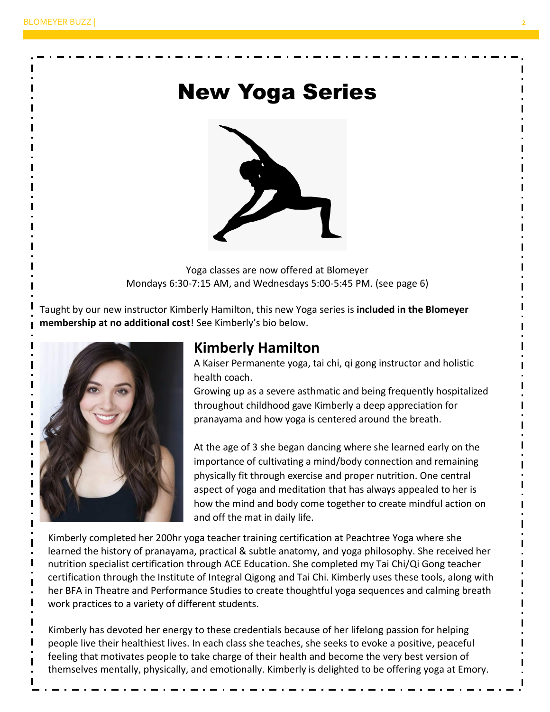## New Yoga Series



Yoga classes are now offered at Blomeyer Mondays 6:30-7:15 AM, and Wednesdays 5:00-5:45 PM. (see page 6)

Taught by our new instructor Kimberly Hamilton, this new Yoga series is **included in the Blomeyer membership at no additional cost**! See Kimberly's bio below.



### **Kimberly Hamilton**

A Kaiser Permanente yoga, tai chi, qi gong instructor and holistic health coach.

Growing up as a severe asthmatic and being frequently hospitalized throughout childhood gave Kimberly a deep appreciation for pranayama and how yoga is centered around the breath.

At the age of 3 she began dancing where she learned early on the importance of cultivating a mind/body connection and remaining physically fit through exercise and proper nutrition. One central aspect of yoga and meditation that has always appealed to her is how the mind and body come together to create mindful action on and off the mat in daily life.

Kimberly completed her 200hr yoga teacher training certification at Peachtree Yoga where she learned the history of pranayama, practical & subtle anatomy, and yoga philosophy. She received her nutrition specialist certification through ACE Education. She completed my Tai Chi/Qi Gong teacher certification through the Institute of Integral Qigong and Tai Chi. Kimberly uses these tools, along with her BFA in Theatre and Performance Studies to create thoughtful yoga sequences and calming breath work practices to a variety of different students.

Kimberly has devoted her energy to these credentials because of her lifelong passion for helping people live their healthiest lives. In each class she teaches, she seeks to evoke a positive, peaceful feeling that motivates people to take charge of their health and become the very best version of themselves mentally, physically, and emotionally. Kimberly is delighted to be offering yoga at Emory.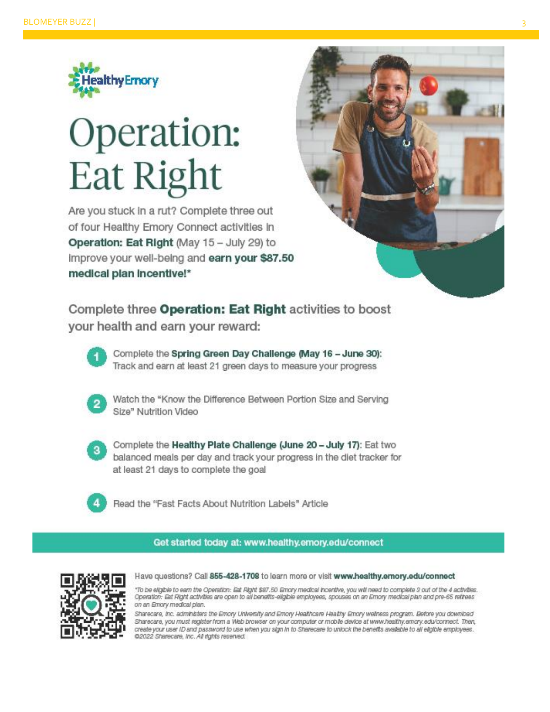

# Operation: **Eat Right**

Are you stuck in a rut? Complete three out of four Healthy Emory Connect activities in Operation: Eat Right (May 15 - July 29) to Improve your well-being and earn your \$87.50 medical plan incentive!\*



Complete three Operation: Eat Right activities to boost your health and earn your reward:



Complete the Spring Green Day Challenge (May 16 - June 30): Track and earn at least 21 green days to measure your progress



Watch the "Know the Difference Between Portion Size and Serving Size" Nutrition Video



Complete the Healthy Plate Challenge (June 20 - July 17): Eat two balanced meals per day and track your progress in the diet tracker for at least 21 days to complete the goal

Read the "Fast Facts About Nutrition Labels" Article

Get started today at: www.healthy.emory.edu/connect



Have questions? Call 855-428-1708 to learn more or visit www.healthy.emory.edu/connect

"To be eligible to earn the Operation: Eat Right \$87.50 Emory medical incentive, you will need to complete 3 out of the 4 activities. Operation: Est Right activities are open to all benefits-eligible employees, spouses on an Emory medical plan and pre-65 retirees on an Emory medical plan.

Sharecare, Inc. administers the Emory University and Emory Healthcare Healthy Emory wellness program. Before you download Sharecare, you must register from a Web browser on your computer or mobile device at www.healthy.emcry.edu/connect. Then, create your user ID and password to use when you sign in to Sharecare to unlock the benefits available to all eligible employees. @2022 Sharecare, Inc. All rights reserved.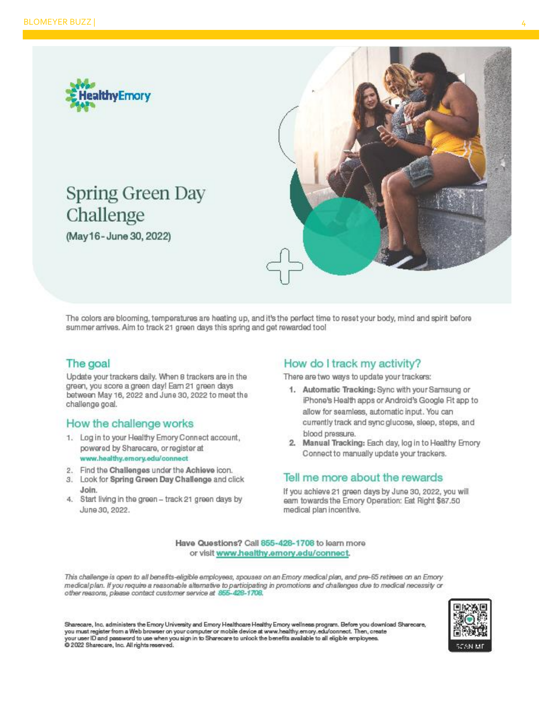

## **Spring Green Day** Challenge

(May 16 - June 30, 2022)



The colors are blooming, temperatures are heating up, and it's the perfect time to reset your body, mind and spirit before summer arrives. Aim to track 21 green days this spring and get rewarded tool

#### The goal

Update your trackers daily. When 8 trackers are in the green, you score a green day! Earn 21 green days between May 16, 2022 and June 30, 2022 to meet the challenge goal.

#### How the challenge works

- 1. Log in to your Healthy Emory Connect account, powered by Sharecare, or register at www.healthy.emory.edu/connect
- 2. Find the Challenges under the Achieve icon.
- 3. Look for Spring Green Day Challenge and click Join.
- 4. Start living in the green track 21 green days by June 30, 2022.

#### How do I track my activity?

There are two ways to update your trackers:

- 1. Automatic Tracking: Sync with your Samsung or iPhone's Health apps or Android's Google Fit app to allow for seamless, automatic input. You can currently track and sync glucose, sleep, steps, and blood pressure.
- 2. Manual Tracking: Each day, log in to Healthy Emory Connect to manually update your trackers.

#### Tell me more about the rewards

If you achieve 21 green days by June 30, 2022, you will eam towards the Emory Operation: Eat Right \$87.50 medical plan incentive.

Have Questions? Call 855-428-1708 to learn more or visit www.healthy.emory.edu/connect.

This challenge is open to all benefits-eligible employees, spouses on an Emory medical plan, and pre-65 retirees on an Emory medical plan. If you require a reasonable alternative to participating in promotions and challenges due to medical necessity or other reasons, please contact customer service at 855 428-1708.

Sharecare, Inc. administers the Emory University and Emory Healthcare Healthy Emory wellness program. Before you download Sharecare, you must register from a Web browser on your computer or mobile device at www.healthy.emory.edu/connect. Then, create your user ID and password to use when you sign in to Sharecare to unlook the benefits available to all eligible employees. 2022 Sharecare, Inc. All rights reserved.

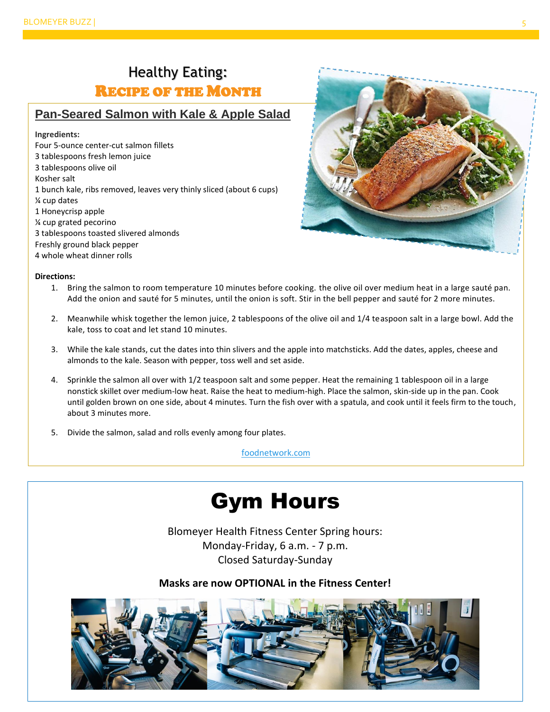## Healthy Eating: RECIPE OF THE MONTH

#### **Pan-Seared Salmon with Kale & Apple Salad**

#### **Ingredients:**

Four 5-ounce center-cut salmon fillets 3 tablespoons fresh lemon juice 3 tablespoons olive oil Kosher salt 1 bunch kale, ribs removed, leaves very thinly sliced (about 6 cups) ¼ cup dates 1 Honeycrisp apple ¼ cup grated pecorino 3 tablespoons toasted slivered almonds Freshly ground black pepper 4 whole wheat dinner rolls



#### **Directions:**

- 1. Bring the salmon to room temperature 10 minutes before cooking. the olive oil over medium heat in a large sauté pan. Add the onion and sauté for 5 minutes, until the onion is soft. Stir in the bell pepper and sauté for 2 more minutes.
- 2. Meanwhile whisk together the lemon juice, 2 tablespoons of the olive oil and 1/4 teaspoon salt in a large bowl. Add the kale, toss to coat and let stand 10 minutes.
- 3. While the kale stands, cut the dates into thin slivers and the apple into matchsticks. Add the dates, apples, cheese and almonds to the kale. Season with pepper, toss well and set aside.
- 4. Sprinkle the salmon all over with 1/2 teaspoon salt and some pepper. Heat the remaining 1 tablespoon oil in a large nonstick skillet over medium-low heat. Raise the heat to medium-high. Place the salmon, skin-side up in the pan. Cook until golden brown on one side, about 4 minutes. Turn the fish over with a spatula, and cook until it feels firm to the touch, about 3 minutes more.
- 5. Divide the salmon, salad and rolls evenly among four plates.

[foodnetwork.com](https://www.foodnetwork.com/recipes/food-network-kitchen/pan-seared-salmon-with-kale-and-apple-salad-recipe-3361718)

## Gym Hours

Blomeyer Health Fitness Center Spring hours: Monday-Friday, 6 a.m. - 7 p.m. Closed Saturday-Sunday

#### **Masks are now OPTIONAL in the Fitness Center!**